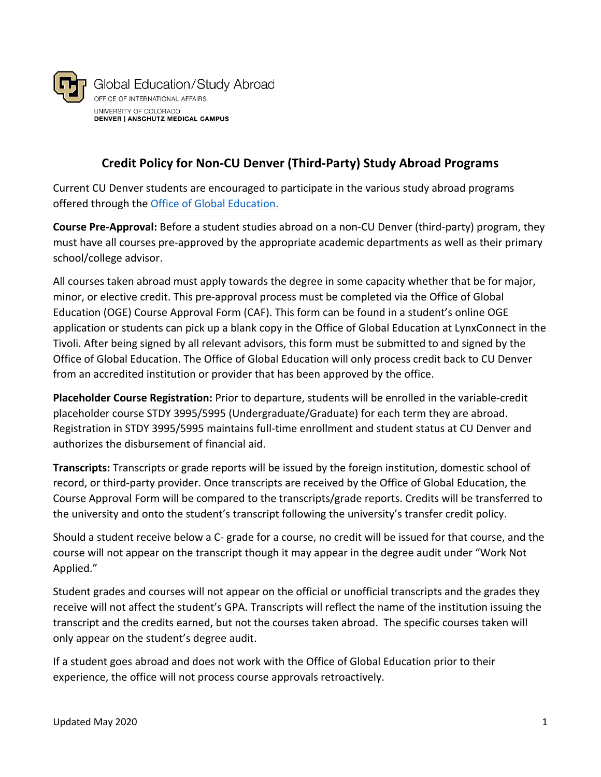

## **Credit Policy for Non-CU Denver (Third-Party) Study Abroad Programs**

Current CU Denver students are encouraged to participate in the various study abroad programs offered through the Office of Global Education.

**Course Pre-Approval:** Before a student studies abroad on a non-CU Denver (third-party) program, they must have all courses pre-approved by the appropriate academic departments as well as their primary school/college advisor.

All courses taken abroad must apply towards the degree in some capacity whether that be for major, minor, or elective credit. This pre-approval process must be completed via the Office of Global Education (OGE) Course Approval Form (CAF). This form can be found in a student's online OGE application or students can pick up a blank copy in the Office of Global Education at LynxConnect in the Tivoli. After being signed by all relevant advisors, this form must be submitted to and signed by the Office of Global Education. The Office of Global Education will only process credit back to CU Denver from an accredited institution or provider that has been approved by the office.

**Placeholder Course Registration:** Prior to departure, students will be enrolled in the variable-credit placeholder course STDY 3995/5995 (Undergraduate/Graduate) for each term they are abroad. Registration in STDY 3995/5995 maintains full-time enrollment and student status at CU Denver and authorizes the disbursement of financial aid.

**Transcripts:** Transcripts or grade reports will be issued by the foreign institution, domestic school of record, or third-party provider. Once transcripts are received by the Office of Global Education, the Course Approval Form will be compared to the transcripts/grade reports. Credits will be transferred to the university and onto the student's transcript following the university's transfer credit policy.

Should a student receive below a C- grade for a course, no credit will be issued for that course, and the course will not appear on the transcript though it may appear in the degree audit under "Work Not Applied."

Student grades and courses will not appear on the official or unofficial transcripts and the grades they receive will not affect the student's GPA. Transcripts will reflect the name of the institution issuing the transcript and the credits earned, but not the courses taken abroad. The specific courses taken will only appear on the student's degree audit.

If a student goes abroad and does not work with the Office of Global Education prior to their experience, the office will not process course approvals retroactively.